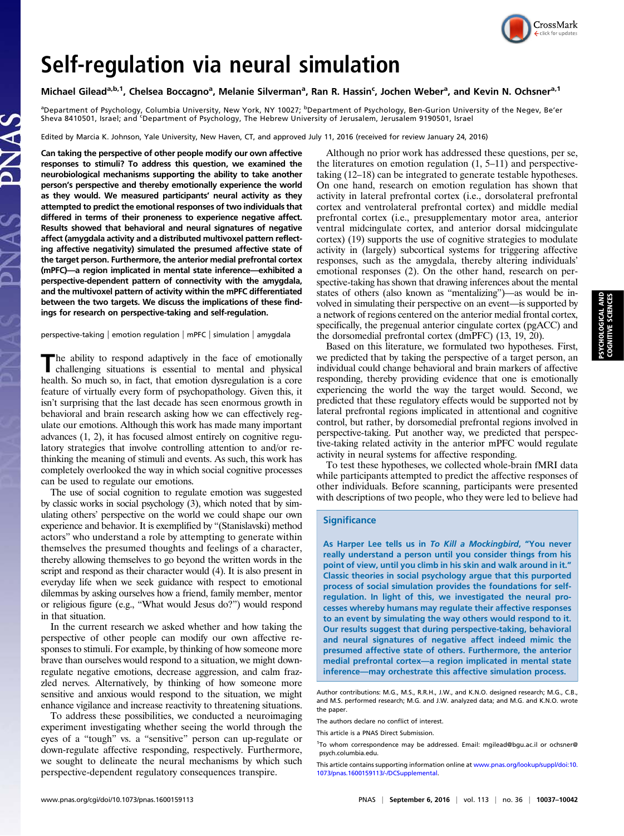

# Michael Gilead<sup>a,b,1</sup>, Chelsea Boccagno<sup>a</sup>, Melanie Silverman<sup>a</sup>, Ran R. Hassin<sup>c</sup>, Jochen Weber<sup>a</sup>, and Kevin N. Ochsner<sup>a,1</sup>

<sup>a</sup>Department of Psychology, Columbia University, New York, NY 10027; <sup>b</sup>Department of Psychology, Ben-Gurion University of the Negev, Be'er<br>Sheva 8410501, Israel; and <sup>c</sup>Department of Psychology, The Hebrew University of

Edited by Marcia K. Johnson, Yale University, New Haven, CT, and approved July 11, 2016 (received for review January 24, 2016)

Can taking the perspective of other people modify our own affective responses to stimuli? To address this question, we examined the neurobiological mechanisms supporting the ability to take another person's perspective and thereby emotionally experience the world as they would. We measured participants' neural activity as they attempted to predict the emotional responses of two individuals that differed in terms of their proneness to experience negative affect. Results showed that behavioral and neural signatures of negative affect (amygdala activity and a distributed multivoxel pattern reflecting affective negativity) simulated the presumed affective state of the target person. Furthermore, the anterior medial prefrontal cortex (mPFC)—a region implicated in mental state inference—exhibited a perspective-dependent pattern of connectivity with the amygdala, and the multivoxel pattern of activity within the mPFC differentiated between the two targets. We discuss the implications of these findings for research on perspective-taking and self-regulation.

perspective-taking | emotion regulation | mPFC | simulation | amygdala

The ability to respond adaptively in the face of emotionally challenging situations is essential to mental and physical health. So much so, in fact, that emotion dysregulation is a core feature of virtually every form of psychopathology. Given this, it isn't surprising that the last decade has seen enormous growth in behavioral and brain research asking how we can effectively regulate our emotions. Although this work has made many important advances (1, 2), it has focused almost entirely on cognitive regulatory strategies that involve controlling attention to and/or rethinking the meaning of stimuli and events. As such, this work has completely overlooked the way in which social cognitive processes can be used to regulate our emotions.

The use of social cognition to regulate emotion was suggested by classic works in social psychology (3), which noted that by simulating others' perspective on the world we could shape our own experience and behavior. It is exemplified by "(Stanislavski) method actors" who understand a role by attempting to generate within themselves the presumed thoughts and feelings of a character, thereby allowing themselves to go beyond the written words in the script and respond as their character would (4). It is also present in everyday life when we seek guidance with respect to emotional dilemmas by asking ourselves how a friend, family member, mentor or religious figure (e.g., "What would Jesus do?") would respond in that situation.

In the current research we asked whether and how taking the perspective of other people can modify our own affective responses to stimuli. For example, by thinking of how someone more brave than ourselves would respond to a situation, we might downregulate negative emotions, decrease aggression, and calm frazzled nerves. Alternatively, by thinking of how someone more sensitive and anxious would respond to the situation, we might enhance vigilance and increase reactivity to threatening situations.

To address these possibilities, we conducted a neuroimaging experiment investigating whether seeing the world through the eyes of a "tough" vs. a "sensitive" person can up-regulate or down-regulate affective responding, respectively. Furthermore, we sought to delineate the neural mechanisms by which such perspective-dependent regulatory consequences transpire.

Although no prior work has addressed these questions, per se, the literatures on emotion regulation (1, 5–11) and perspectivetaking (12–18) can be integrated to generate testable hypotheses. On one hand, research on emotion regulation has shown that activity in lateral prefrontal cortex (i.e., dorsolateral prefrontal cortex and ventrolateral prefrontal cortex) and middle medial prefrontal cortex (i.e., presupplementary motor area, anterior ventral midcingulate cortex, and anterior dorsal midcingulate cortex) (19) supports the use of cognitive strategies to modulate activity in (largely) subcortical systems for triggering affective responses, such as the amygdala, thereby altering individuals' emotional responses (2). On the other hand, research on perspective-taking has shown that drawing inferences about the mental states of others (also known as "mentalizing")—as would be involved in simulating their perspective on an event—is supported by a network of regions centered on the anterior medial frontal cortex, specifically, the pregenual anterior cingulate cortex (pgACC) and the dorsomedial prefrontal cortex (dmPFC) (13, 19, 20).

Based on this literature, we formulated two hypotheses. First, we predicted that by taking the perspective of a target person, an individual could change behavioral and brain markers of affective responding, thereby providing evidence that one is emotionally experiencing the world the way the target would. Second, we predicted that these regulatory effects would be supported not by lateral prefrontal regions implicated in attentional and cognitive control, but rather, by dorsomedial prefrontal regions involved in perspective-taking. Put another way, we predicted that perspective-taking related activity in the anterior mPFC would regulate activity in neural systems for affective responding.

To test these hypotheses, we collected whole-brain fMRI data while participants attempted to predict the affective responses of other individuals. Before scanning, participants were presented with descriptions of two people, who they were led to believe had

# **Significance**

As Harper Lee tells us in To Kill a Mockingbird, "You never really understand a person until you consider things from his point of view, until you climb in his skin and walk around in it." Classic theories in social psychology argue that this purported process of social simulation provides the foundations for selfregulation. In light of this, we investigated the neural processes whereby humans may regulate their affective responses to an event by simulating the way others would respond to it. Our results suggest that during perspective-taking, behavioral and neural signatures of negative affect indeed mimic the presumed affective state of others. Furthermore, the anterior medial prefrontal cortex—a region implicated in mental state inference—may orchestrate this affective simulation process.

Author contributions: M.G., M.S., R.R.H., J.W., and K.N.O. designed research; M.G., C.B., and M.S. performed research; M.G. and J.W. analyzed data; and M.G. and K.N.O. wrote the paper.

The authors declare no conflict of interest.

This article is a PNAS Direct Submission.

<sup>1</sup>To whom correspondence may be addressed. Email: [mgilead@bgu.ac.il](mailto:mgilead@bgu.ac.il) or [ochsner@](mailto:ochsner@psych.columbia.edu) [psych.columbia.edu](mailto:ochsner@psych.columbia.edu).

This article contains supporting information online at [www.pnas.org/lookup/suppl/doi:10.](http://www.pnas.org/lookup/suppl/doi:10.1073/pnas.1600159113/-/DCSupplemental) [1073/pnas.1600159113/-/DCSupplemental](http://www.pnas.org/lookup/suppl/doi:10.1073/pnas.1600159113/-/DCSupplemental).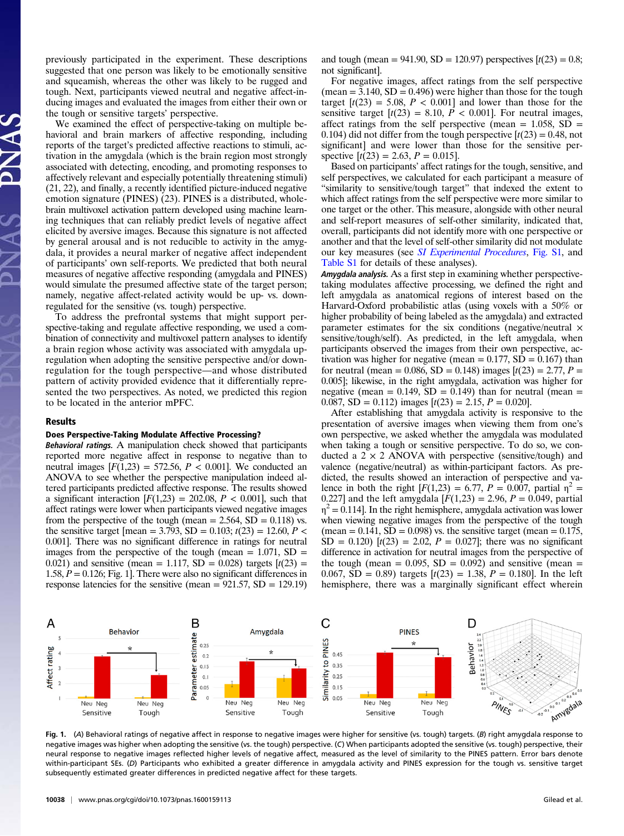previously participated in the experiment. These descriptions suggested that one person was likely to be emotionally sensitive and squeamish, whereas the other was likely to be rugged and tough. Next, participants viewed neutral and negative affect-inducing images and evaluated the images from either their own or the tough or sensitive targets' perspective.

We examined the effect of perspective-taking on multiple behavioral and brain markers of affective responding, including reports of the target's predicted affective reactions to stimuli, activation in the amygdala (which is the brain region most strongly associated with detecting, encoding, and promoting responses to affectively relevant and especially potentially threatening stimuli) (21, 22), and finally, a recently identified picture-induced negative emotion signature (PINES) (23). PINES is a distributed, wholebrain multivoxel activation pattern developed using machine learning techniques that can reliably predict levels of negative affect elicited by aversive images. Because this signature is not affected by general arousal and is not reducible to activity in the amygdala, it provides a neural marker of negative affect independent of participants' own self-reports. We predicted that both neural measures of negative affective responding (amygdala and PINES) would simulate the presumed affective state of the target person; namely, negative affect-related activity would be up- vs. downregulated for the sensitive (vs. tough) perspective.

To address the prefrontal systems that might support perspective-taking and regulate affective responding, we used a combination of connectivity and multivoxel pattern analyses to identify a brain region whose activity was associated with amygdala upregulation when adopting the sensitive perspective and/or downregulation for the tough perspective—and whose distributed pattern of activity provided evidence that it differentially represented the two perspectives. As noted, we predicted this region to be located in the anterior mPFC.

## Results

# Does Perspective-Taking Modulate Affective Processing?

Behavioral ratings. A manipulation check showed that participants reported more negative affect in response to negative than to neutral images  $[F(1,23) = 572.56, P < 0.001]$ . We conducted an ANOVA to see whether the perspective manipulation indeed altered participants predicted affective response. The results showed a significant interaction  $[F(1,23) = 202.08, P < 0.001]$ , such that affect ratings were lower when participants viewed negative images from the perspective of the tough (mean  $= 2.564$ , SD  $= 0.118$ ) vs. the sensitive target [mean = 3.793, SD = 0.103;  $t(23) = 12.60$ ,  $P <$ 0.001]. There was no significant difference in ratings for neutral images from the perspective of the tough (mean  $= 1.071$ , SD  $=$ 0.021) and sensitive (mean = 1.117,  $SD = 0.028$ ) targets  $[t(23) =$ 1.58,  $P = 0.126$ ; Fig. 1]. There were also no significant differences in response latencies for the sensitive (mean =  $921.57$ , SD =  $129.19$ ) and tough (mean = 941.90, SD = 120.97) perspectives  $[t(23) = 0.8;$ not significant].

For negative images, affect ratings from the self perspective  $(\text{mean} = 3.140, SD = 0.496)$  were higher than those for the tough target  $[t(23) = 5.08, P < 0.001]$  and lower than those for the sensitive target  $[t(23) = 8.10, P < 0.001]$ . For neutral images, affect ratings from the self perspective (mean  $= 1.058$ , SD  $=$ 0.104) did not differ from the tough perspective  $[t(23) = 0.48, not$ significant] and were lower than those for the sensitive perspective  $[t(23) = 2.63, P = 0.015]$ .

Based on participants' affect ratings for the tough, sensitive, and self perspectives, we calculated for each participant a measure of "similarity to sensitive/tough target" that indexed the extent to which affect ratings from the self perspective were more similar to one target or the other. This measure, alongside with other neural and self-report measures of self-other similarity, indicated that, overall, participants did not identify more with one perspective or another and that the level of self-other similarity did not modulate our key measures (see [SI Experimental Procedures](http://www.pnas.org/lookup/suppl/doi:10.1073/pnas.1600159113/-/DCSupplemental/pnas.201600159SI.pdf?targetid=nameddest=STXT), [Fig. S1,](http://www.pnas.org/lookup/suppl/doi:10.1073/pnas.1600159113/-/DCSupplemental/pnas.201600159SI.pdf?targetid=nameddest=SF1) and [Table S1](http://www.pnas.org/lookup/suppl/doi:10.1073/pnas.1600159113/-/DCSupplemental/pnas.201600159SI.pdf?targetid=nameddest=ST1) for details of these analyses).

Amygdala analysis. As a first step in examining whether perspectivetaking modulates affective processing, we defined the right and left amygdala as anatomical regions of interest based on the Harvard-Oxford probabilistic atlas (using voxels with a 50% or higher probability of being labeled as the amygdala) and extracted parameter estimates for the six conditions (negative/neutral  $\times$ sensitive/tough/self). As predicted, in the left amygdala, when participants observed the images from their own perspective, activation was higher for negative (mean  $= 0.177$ , SD  $= 0.167$ ) than for neutral (mean = 0.086, SD = 0.148) images  $[t(23) = 2.77, P =$ 0.005]; likewise, in the right amygdala, activation was higher for negative (mean =  $0.149$ , SD =  $0.149$ ) than for neutral (mean = 0.087, SD = 0.112) images  $[t(23) = 2.15, P = 0.020]$ .

After establishing that amygdala activity is responsive to the presentation of aversive images when viewing them from one's own perspective, we asked whether the amygdala was modulated when taking a tough or sensitive perspective. To do so, we conducted a  $2 \times 2$  ANOVA with perspective (sensitive/tough) and valence (negative/neutral) as within-participant factors. As predicted, the results showed an interaction of perspective and valence in both the right  $[F(1,23) = 6.77, P = 0.007,$  partial  $\eta^2 =$ 0.227] and the left amygdala  $[F(1,23) = 2.96, P = 0.049,$  partial  $\eta^2$  = 0.114]. In the right hemisphere, amygdala activation was lower when viewing negative images from the perspective of the tough (mean =  $0.141$ , SD =  $0.098$ ) vs. the sensitive target (mean =  $0.175$ ,  $SD = 0.120$   $[t(23) = 2.02, P = 0.027]$ ; there was no significant difference in activation for neutral images from the perspective of the tough (mean =  $0.095$ , SD =  $0.092$ ) and sensitive (mean = 0.067, SD = 0.89) targets  $[t(23) = 1.38, P = 0.180]$ . In the left hemisphere, there was a marginally significant effect wherein



Fig. 1. (A) Behavioral ratings of negative affect in response to negative images were higher for sensitive (vs. tough) targets. (B) right amygdala response to negative images was higher when adopting the sensitive (vs. the tough) perspective. (C) When participants adopted the sensitive (vs. tough) perspective, their neural response to negative images reflected higher levels of negative affect, measured as the level of similarity to the PINES pattern. Error bars denote within-participant SEs. (D) Participants who exhibited a greater difference in amygdala activity and PINES expression for the tough vs. sensitive target subsequently estimated greater differences in predicted negative affect for these targets.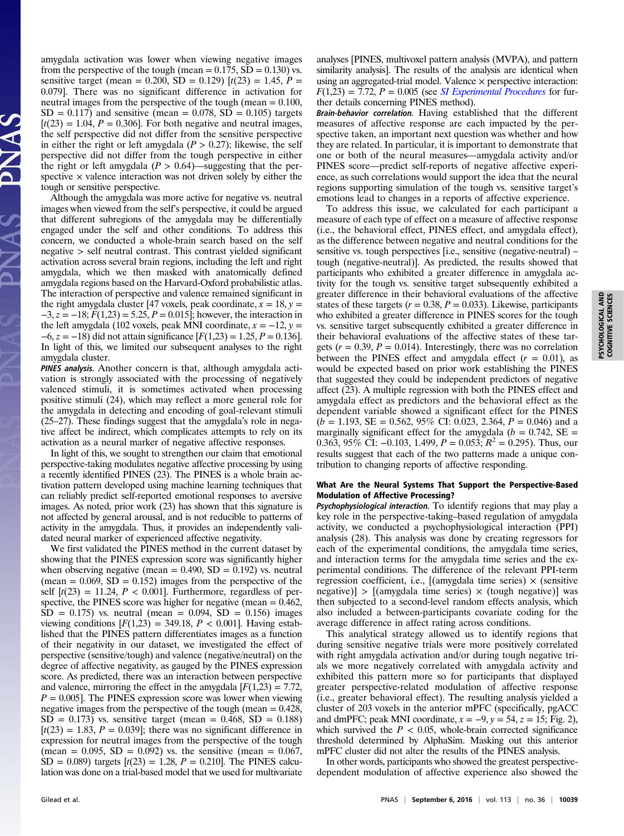amygdala activation was lower when viewing negative images from the perspective of the tough (mean  $= 0.175$ , SD  $= 0.130$ ) vs. sensitive target (mean = 0.200, SD = 0.129)  $[t(23) = 1.45, P =$ 0.079]. There was no significant difference in activation for neutral images from the perspective of the tough (mean  $= 0.100$ ,  $SD = 0.117$ ) and sensitive (mean = 0.078,  $SD = 0.105$ ) targets  $[t(23) = 1.04, P = 0.306]$ . For both negative and neutral images, the self perspective did not differ from the sensitive perspective in either the right or left amygdala ( $P > 0.27$ ); likewise, the self perspective did not differ from the tough perspective in either the right or left amygdala  $(P > 0.64)$ —suggesting that the perspective  $\times$  valence interaction was not driven solely by either the tough or sensitive perspective.

Although the amygdala was more active for negative vs. neutral images when viewed from the self's perspective, it could be argued that different subregions of the amygdala may be differentially engaged under the self and other conditions. To address this concern, we conducted a whole-brain search based on the self negative > self neutral contrast. This contrast yielded significant activation across several brain regions, including the left and right amygdala, which we then masked with anatomically defined amygdala regions based on the Harvard-Oxford probabilistic atlas. The interaction of perspective and valence remained significant in the right amygdala cluster [47 voxels, peak coordinate,  $x = 18$ ,  $y =$  $-3$ ,  $z = -18$ ;  $F(1,23) = 5.25$ ,  $P = 0.015$ ]; however, the interaction in the left amygdala (102 voxels, peak MNI coordinate,  $x = -12$ ,  $y =$  $-6$ ,  $z = -18$ ) did not attain significance  $[F(1,23) = 1.25, P = 0.136]$ . In light of this, we limited our subsequent analyses to the right amygdala cluster.

PINES analysis. Another concern is that, although amygdala activation is strongly associated with the processing of negatively valenced stimuli, it is sometimes activated when processing positive stimuli (24), which may reflect a more general role for the amygdala in detecting and encoding of goal-relevant stimuli (25–27). These findings suggest that the amygdala's role in negative affect be indirect, which complicates attempts to rely on its activation as a neural marker of negative affective responses.

In light of this, we sought to strengthen our claim that emotional perspective-taking modulates negative affective processing by using a recently identified PINES (23). The PINES is a whole brain activation pattern developed using machine learning techniques that can reliably predict self-reported emotional responses to aversive images. As noted, prior work (23) has shown that this signature is not affected by general arousal, and is not reducible to patterns of activity in the amygdala. Thus, it provides an independently validated neural marker of experienced affective negativity.

We first validated the PINES method in the current dataset by showing that the PINES expression score was significantly higher when observing negative (mean  $= 0.490$ , SD  $= 0.192$ ) vs. neutral  $(\text{mean} = 0.069, SD = 0.152)$  images from the perspective of the self  $[t(23) = 11.24, P < 0.001]$ . Furthermore, regardless of perspective, the PINES score was higher for negative (mean  $= 0.462$ ,  $SD = 0.175$  vs. neutral (mean = 0.094,  $SD = 0.156$ ) images viewing conditions  $[F(1,23) = 349.18, P < 0.001]$ . Having established that the PINES pattern differentiates images as a function of their negativity in our dataset, we investigated the effect of perspective (sensitive/tough) and valence (negative/neutral) on the degree of affective negativity, as gauged by the PINES expression score. As predicted, there was an interaction between perspective and valence, mirroring the effect in the amygdala  $[F(1,23) = 7.72]$ ,  $P = 0.005$ . The PINES expression score was lower when viewing negative images from the perspective of the tough (mean = 0.428,  $SD = 0.173$ ) vs. sensitive target (mean = 0.468,  $SD = 0.188$ )  $[t(23) = 1.83, P = 0.039]$ ; there was no significant difference in expression for neutral images from the perspective of the tough (mean =  $0.095$ , SD =  $0.092$ ) vs. the sensitive (mean =  $0.067$ ,  $SD = 0.089$ ) targets  $[t(23) = 1.28, P = 0.210]$ . The PINES calculation was done on a trial-based model that we used for multivariate

analyses [PINES, multivoxel pattern analysis (MVPA), and pattern similarity analysis]. The results of the analysis are identical when using an aggregated-trial model. Valence × perspective interaction:  $F(1,23) = 7.72$ ,  $P = 0.005$  (see *[SI Experimental Procedures](http://www.pnas.org/lookup/suppl/doi:10.1073/pnas.1600159113/-/DCSupplemental/pnas.201600159SI.pdf?targetid=nameddest=STXT)* for further details concerning PINES method).

Brain-behavior correlation. Having established that the different measures of affective response are each impacted by the perspective taken, an important next question was whether and how they are related. In particular, it is important to demonstrate that one or both of the neural measures—amygdala activity and/or PINES score—predict self-reports of negative affective experience, as such correlations would support the idea that the neural regions supporting simulation of the tough vs. sensitive target's emotions lead to changes in a reports of affective experience.

To address this issue, we calculated for each participant a measure of each type of effect on a measure of affective response (i.e., the behavioral effect, PINES effect, and amygdala effect), as the difference between negative and neutral conditions for the sensitive vs. tough perspectives [i.e., sensitive (negative-neutral) – tough (negative-neutral)]. As predicted, the results showed that participants who exhibited a greater difference in amygdala activity for the tough vs. sensitive target subsequently exhibited a greater difference in their behavioral evaluations of the affective states of these targets ( $r = 0.38$ ,  $P = 0.033$ ). Likewise, participants who exhibited a greater difference in PINES scores for the tough vs. sensitive target subsequently exhibited a greater difference in their behavioral evaluations of the affective states of these targets ( $r = 0.39$ ,  $P = 0.014$ ). Interestingly, there was no correlation between the PINES effect and amygdala effect  $(r = 0.01)$ , as would be expected based on prior work establishing the PINES that suggested they could be independent predictors of negative affect (23). A multiple regression with both the PINES effect and amygdala effect as predictors and the behavioral effect as the dependent variable showed a significant effect for the PINES  $(b = 1.193, SE = 0.562, 95\% \text{ CI: } 0.023, 2.364, P = 0.046)$  and a marginally significant effect for the amygdala ( $b = 0.742$ , SE = 0.363, 95% CI:  $-0.103$ , 1.499,  $P = 0.053$ ;  $R^2 = 0.295$ ). Thus, our results suggest that each of the two patterns made a unique contribution to changing reports of affective responding.

# What Are the Neural Systems That Support the Perspective-Based Modulation of Affective Processing?

**Psychophysiological interaction.** To identify regions that may play a key role in the perspective-taking–based regulation of amygdala activity, we conducted a psychophysiological interaction (PPI) analysis (28). This analysis was done by creating regressors for each of the experimental conditions, the amygdala time series, and interaction terms for the amygdala time series and the experimental conditions. The difference of the relevant PPI-term regression coefficient, i.e.,  $\lbrack$  (amygdala time series)  $\times$  (sensitive negative)] >  $[(\text{amygdala time series}) \times (\text{tough negative})]$  was then subjected to a second-level random effects analysis, which also included a between-participants covariate coding for the average difference in affect rating across conditions.

This analytical strategy allowed us to identify regions that during sensitive negative trials were more positively correlated with right amygdala activation and/or during tough negative trials we more negatively correlated with amygdala activity and exhibited this pattern more so for participants that displayed greater perspective-related modulation of affective response (i.e., greater behavioral effect). The resulting analysis yielded a cluster of 203 voxels in the anterior mPFC (specifically, pgACC and dmPFC; peak MNI coordinate,  $x = -9$ ,  $y = 54$ ,  $z = 15$ ; Fig. 2), which survived the  $P < 0.05$ , whole-brain corrected significance threshold determined by AlphaSim. Masking out this anterior mPFC cluster did not alter the results of the PINES analysis.

In other words, participants who showed the greatest perspectivedependent modulation of affective experience also showed the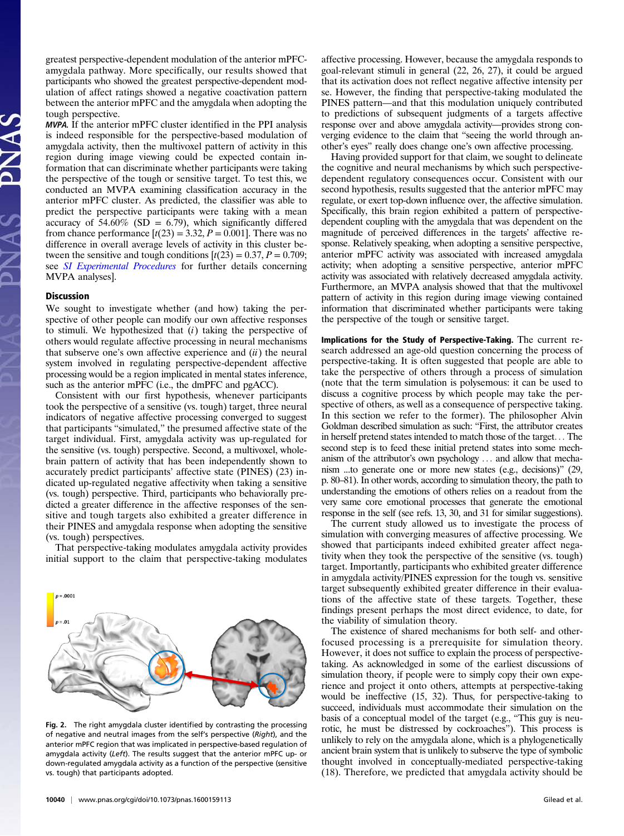greatest perspective-dependent modulation of the anterior mPFCamygdala pathway. More specifically, our results showed that participants who showed the greatest perspective-dependent modulation of affect ratings showed a negative coactivation pattern between the anterior mPFC and the amygdala when adopting the tough perspective.

MVPA. If the anterior mPFC cluster identified in the PPI analysis is indeed responsible for the perspective-based modulation of amygdala activity, then the multivoxel pattern of activity in this region during image viewing could be expected contain information that can discriminate whether participants were taking the perspective of the tough or sensitive target. To test this, we conducted an MVPA examining classification accuracy in the anterior mPFC cluster. As predicted, the classifier was able to predict the perspective participants were taking with a mean accuracy of 54.60% (SD = 6.79), which significantly differed from chance performance  $[t(23) = 3.32, P = 0.001]$ . There was no difference in overall average levels of activity in this cluster between the sensitive and tough conditions  $[t(23) = 0.37, P = 0.709;$ see [SI Experimental Procedures](http://www.pnas.org/lookup/suppl/doi:10.1073/pnas.1600159113/-/DCSupplemental/pnas.201600159SI.pdf?targetid=nameddest=STXT) for further details concerning MVPA analyses].

# **Discussion**

We sought to investigate whether (and how) taking the perspective of other people can modify our own affective responses to stimuli. We hypothesized that  $(i)$  taking the perspective of others would regulate affective processing in neural mechanisms that subserve one's own affective experience and  $(ii)$  the neural system involved in regulating perspective-dependent affective processing would be a region implicated in mental states inference, such as the anterior mPFC (i.e., the dmPFC and pgACC).

Consistent with our first hypothesis, whenever participants took the perspective of a sensitive (vs. tough) target, three neural indicators of negative affective processing converged to suggest that participants "simulated," the presumed affective state of the target individual. First, amygdala activity was up-regulated for the sensitive (vs. tough) perspective. Second, a multivoxel, wholebrain pattern of activity that has been independently shown to accurately predict participants' affective state (PINES) (23) indicated up-regulated negative affectivity when taking a sensitive (vs. tough) perspective. Third, participants who behaviorally predicted a greater difference in the affective responses of the sensitive and tough targets also exhibited a greater difference in their PINES and amygdala response when adopting the sensitive (vs. tough) perspectives.

That perspective-taking modulates amygdala activity provides initial support to the claim that perspective-taking modulates



Fig. 2. The right amygdala cluster identified by contrasting the processing of negative and neutral images from the self's perspective (Right), and the anterior mPFC region that was implicated in perspective-based regulation of amygdala activity (Left). The results suggest that the anterior mPFC up- or down-regulated amygdala activity as a function of the perspective (sensitive vs. tough) that participants adopted.

affective processing. However, because the amygdala responds to goal-relevant stimuli in general (22, 26, 27), it could be argued that its activation does not reflect negative affective intensity per se. However, the finding that perspective-taking modulated the PINES pattern—and that this modulation uniquely contributed to predictions of subsequent judgments of a targets affective response over and above amygdala activity—provides strong converging evidence to the claim that "seeing the world through another's eyes" really does change one's own affective processing.

Having provided support for that claim, we sought to delineate the cognitive and neural mechanisms by which such perspectivedependent regulatory consequences occur. Consistent with our second hypothesis, results suggested that the anterior mPFC may regulate, or exert top-down influence over, the affective simulation. Specifically, this brain region exhibited a pattern of perspectivedependent coupling with the amygdala that was dependent on the magnitude of perceived differences in the targets' affective response. Relatively speaking, when adopting a sensitive perspective, anterior mPFC activity was associated with increased amygdala activity; when adopting a sensitive perspective, anterior mPFC activity was associated with relatively decreased amygdala activity. Furthermore, an MVPA analysis showed that that the multivoxel pattern of activity in this region during image viewing contained information that discriminated whether participants were taking the perspective of the tough or sensitive target.

Implications for the Study of Perspective-Taking. The current research addressed an age-old question concerning the process of perspective-taking. It is often suggested that people are able to take the perspective of others through a process of simulation (note that the term simulation is polysemous: it can be used to discuss a cognitive process by which people may take the perspective of others, as well as a consequence of perspective taking. In this section we refer to the former). The philosopher Alvin Goldman described simulation as such: "First, the attributor creates in herself pretend states intended to match those of the target... The second step is to feed these initial pretend states into some mechanism of the attributor's own psychology ... and allow that mechanism ...to generate one or more new states (e.g., decisions)" (29, p. 80–81). In other words, according to simulation theory, the path to understanding the emotions of others relies on a readout from the very same core emotional processes that generate the emotional response in the self (see refs. 13, 30, and 31 for similar suggestions).

The current study allowed us to investigate the process of simulation with converging measures of affective processing. We showed that participants indeed exhibited greater affect negativity when they took the perspective of the sensitive (vs. tough) target. Importantly, participants who exhibited greater difference in amygdala activity/PINES expression for the tough vs. sensitive target subsequently exhibited greater difference in their evaluations of the affective state of these targets. Together, these findings present perhaps the most direct evidence, to date, for the viability of simulation theory.

The existence of shared mechanisms for both self- and otherfocused processing is a prerequisite for simulation theory. However, it does not suffice to explain the process of perspectivetaking. As acknowledged in some of the earliest discussions of simulation theory, if people were to simply copy their own experience and project it onto others, attempts at perspective-taking would be ineffective (15, 32). Thus, for perspective-taking to succeed, individuals must accommodate their simulation on the basis of a conceptual model of the target (e.g., "This guy is neurotic, he must be distressed by cockroaches"). This process is unlikely to rely on the amygdala alone, which is a phylogenetically ancient brain system that is unlikely to subserve the type of symbolic thought involved in conceptually-mediated perspective-taking (18). Therefore, we predicted that amygdala activity should be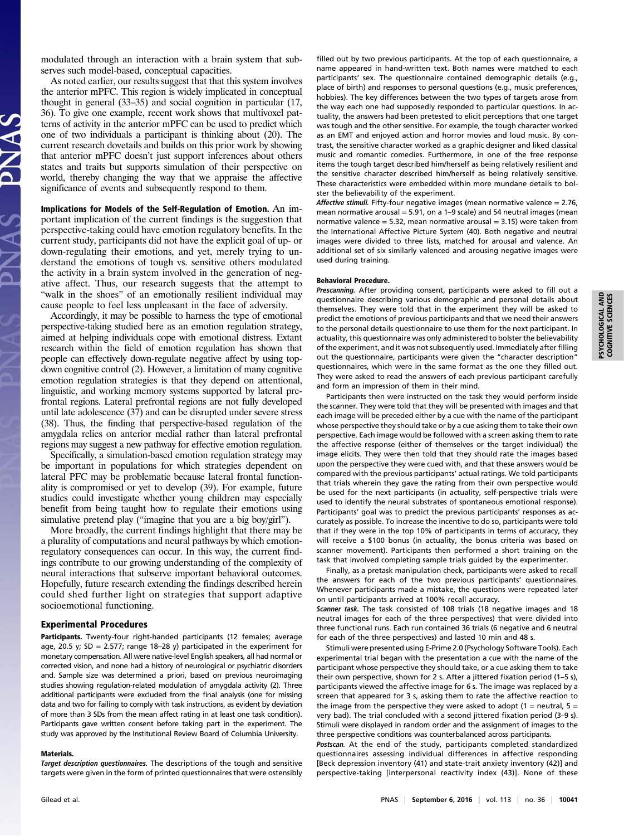modulated through an interaction with a brain system that subserves such model-based, conceptual capacities.

As noted earlier, our results suggest that that this system involves the anterior mPFC. This region is widely implicated in conceptual thought in general (33–35) and social cognition in particular (17, 36). To give one example, recent work shows that multivoxel patterns of activity in the anterior mPFC can be used to predict which one of two individuals a participant is thinking about (20). The current research dovetails and builds on this prior work by showing that anterior mPFC doesn't just support inferences about others states and traits but supports simulation of their perspective on world, thereby changing the way that we appraise the affective significance of events and subsequently respond to them.

Implications for Models of the Self-Regulation of Emotion. An important implication of the current findings is the suggestion that perspective-taking could have emotion regulatory benefits. In the current study, participants did not have the explicit goal of up- or down-regulating their emotions, and yet, merely trying to understand the emotions of tough vs. sensitive others modulated the activity in a brain system involved in the generation of negative affect. Thus, our research suggests that the attempt to "walk in the shoes" of an emotionally resilient individual may cause people to feel less unpleasant in the face of adversity.

Accordingly, it may be possible to harness the type of emotional perspective-taking studied here as an emotion regulation strategy, aimed at helping individuals cope with emotional distress. Extant research within the field of emotion regulation has shown that people can effectively down-regulate negative affect by using topdown cognitive control (2). However, a limitation of many cognitive emotion regulation strategies is that they depend on attentional, linguistic, and working memory systems supported by lateral prefrontal regions. Lateral prefrontal regions are not fully developed until late adolescence (37) and can be disrupted under severe stress (38). Thus, the finding that perspective-based regulation of the amygdala relies on anterior medial rather than lateral prefrontal regions may suggest a new pathway for effective emotion regulation.

Specifically, a simulation-based emotion regulation strategy may be important in populations for which strategies dependent on lateral PFC may be problematic because lateral frontal functionality is compromised or yet to develop (39). For example, future studies could investigate whether young children may especially benefit from being taught how to regulate their emotions using simulative pretend play ("imagine that you are a big boy/girl").

More broadly, the current findings highlight that there may be a plurality of computations and neural pathways by which emotionregulatory consequences can occur. In this way, the current findings contribute to our growing understanding of the complexity of neural interactions that subserve important behavioral outcomes. Hopefully, future research extending the findings described herein could shed further light on strategies that support adaptive socioemotional functioning.

#### Experimental Procedures

Participants. Twenty-four right-handed participants (12 females; average age, 20.5 y; SD = 2.577; range 18-28 y) participated in the experiment for monetary compensation. All were native-level English speakers, all had normal or corrected vision, and none had a history of neurological or psychiatric disorders and. Sample size was determined a priori, based on previous neuroimaging studies showing regulation-related modulation of amygdala activity (2). Three additional participants were excluded from the final analysis (one for missing data and two for failing to comply with task instructions, as evident by deviation of more than 3 SDs from the mean affect rating in at least one task condition). Participants gave written consent before taking part in the experiment. The study was approved by the Institutional Review Board of Columbia University.

#### Materials.

Target description questionnaires. The descriptions of the tough and sensitive targets were given in the form of printed questionnaires that were ostensibly

filled out by two previous participants. At the top of each questionnaire, a name appeared in hand-written text. Both names were matched to each participants' sex. The questionnaire contained demographic details (e.g., place of birth) and responses to personal questions (e.g., music preferences, hobbies). The key differences between the two types of targets arose from the way each one had supposedly responded to particular questions. In actuality, the answers had been pretested to elicit perceptions that one target was tough and the other sensitive. For example, the tough character worked as an EMT and enjoyed action and horror movies and loud music. By contrast, the sensitive character worked as a graphic designer and liked classical music and romantic comedies. Furthermore, in one of the free response items the tough target described him/herself as being relatively resilient and the sensitive character described him/herself as being relatively sensitive. These characteristics were embedded within more mundane details to bolster the believability of the experiment.

Affective stimuli. Fifty-four negative images (mean normative valence  $= 2.76$ , mean normative arousal = 5.91, on a 1–9 scale) and 54 neutral images (mean normative valence  $= 5.32$ , mean normative arousal  $= 3.15$ ) were taken from the International Affective Picture System (40). Both negative and neutral images were divided to three lists, matched for arousal and valence. An additional set of six similarly valenced and arousing negative images were used during training.

### Behavioral Procedure.

Prescanning. After providing consent, participants were asked to fill out a questionnaire describing various demographic and personal details about themselves. They were told that in the experiment they will be asked to predict the emotions of previous participants and that we need their answers to the personal details questionnaire to use them for the next participant. In actuality, this questionnaire was only administered to bolster the believability of the experiment, and it was not subsequently used. Immediately after filling out the questionnaire, participants were given the "character description" questionnaires, which were in the same format as the one they filled out. They were asked to read the answers of each previous participant carefully and form an impression of them in their mind.

Participants then were instructed on the task they would perform inside the scanner. They were told that they will be presented with images and that each image will be preceded either by a cue with the name of the participant whose perspective they should take or by a cue asking them to take their own perspective. Each image would be followed with a screen asking them to rate the affective response (either of themselves or the target individual) the image elicits. They were then told that they should rate the images based upon the perspective they were cued with, and that these answers would be compared with the previous participants' actual ratings. We told participants that trials wherein they gave the rating from their own perspective would be used for the next participants (in actuality, self-perspective trials were used to identify the neural substrates of spontaneous emotional response). Participants' goal was to predict the previous participants' responses as accurately as possible. To increase the incentive to do so, participants were told that if they were in the top 10% of participants in terms of accuracy, they will receive a \$100 bonus (in actuality, the bonus criteria was based on scanner movement). Participants then performed a short training on the task that involved completing sample trials guided by the experimenter.

Finally, as a pretask manipulation check, participants were asked to recall the answers for each of the two previous participants' questionnaires. Whenever participants made a mistake, the questions were repeated later on until participants arrived at 100% recall accuracy.

Scanner task. The task consisted of 108 trials (18 negative images and 18 neutral images for each of the three perspectives) that were divided into three functional runs. Each run contained 36 trials (6 negative and 6 neutral for each of the three perspectives) and lasted 10 min and 48 s.

Stimuli were presented using E-Prime 2.0 (Psychology Software Tools). Each experimental trial began with the presentation a cue with the name of the participant whose perspective they should take, or a cue asking them to take their own perspective, shown for 2 s. After a jittered fixation period (1–5 s), participants viewed the affective image for 6 s. The image was replaced by a screen that appeared for 3 s, asking them to rate the affective reaction to the image from the perspective they were asked to adopt  $(1 =$  neutral,  $5 =$ very bad). The trial concluded with a second jittered fixation period (3–9 s). Stimuli were displayed in random order and the assignment of images to the three perspective conditions was counterbalanced across participants.

Postscan. At the end of the study, participants completed standardized questionnaires assessing individual differences in affective responding [Beck depression inventory (41) and state-trait anxiety inventory (42)] and perspective-taking [interpersonal reactivity index (43)]. None of these